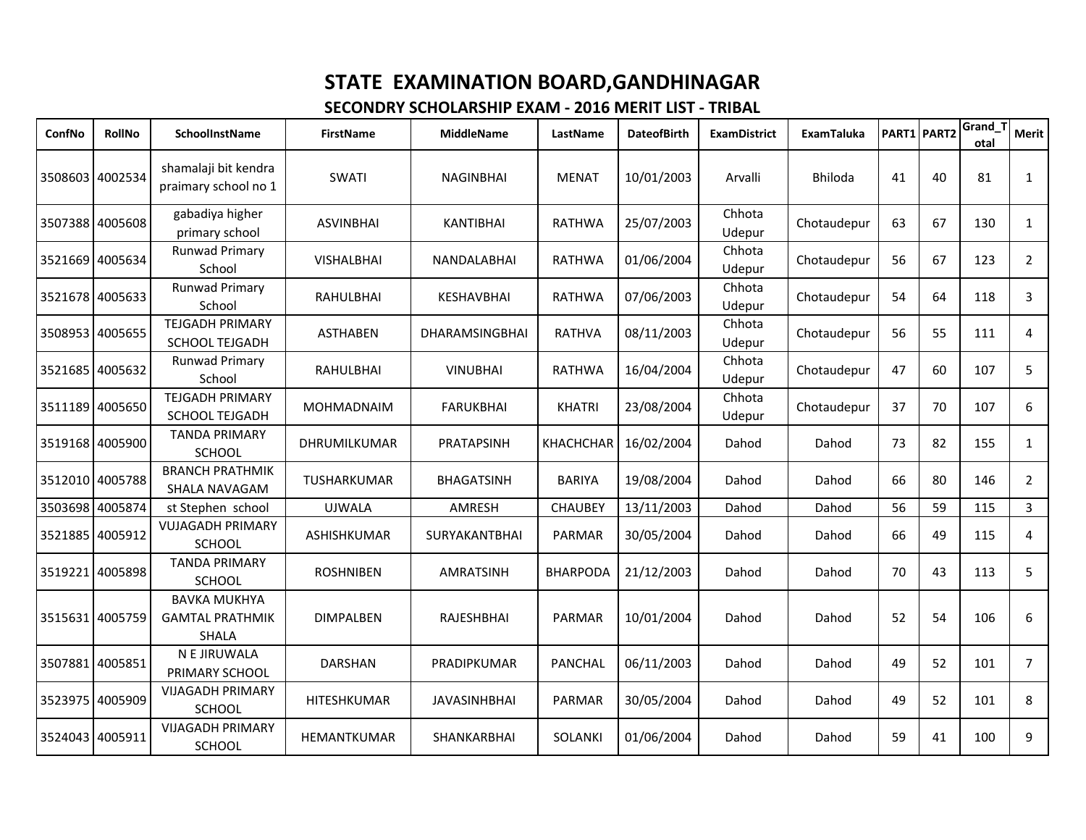| ConfNo          | <b>RollNo</b>   | SchoolInstName                                                | <b>FirstName</b>   | <b>MiddleName</b>     | LastName         | <b>DateofBirth</b> | <b>ExamDistrict</b> | ExamTaluka     | PART1 PART2 |    | Grand_T<br>otal | Merit          |
|-----------------|-----------------|---------------------------------------------------------------|--------------------|-----------------------|------------------|--------------------|---------------------|----------------|-------------|----|-----------------|----------------|
| 3508603 4002534 |                 | shamalaji bit kendra<br>praimary school no 1                  | SWATI              | <b>NAGINBHAI</b>      | <b>MENAT</b>     | 10/01/2003         | Arvalli             | <b>Bhiloda</b> | 41          | 40 | 81              | $\mathbf{1}$   |
|                 | 3507388 4005608 | gabadiya higher<br>primary school                             | <b>ASVINBHAI</b>   | <b>KANTIBHAI</b>      | <b>RATHWA</b>    | 25/07/2003         | Chhota<br>Udepur    | Chotaudepur    | 63          | 67 | 130             | $\mathbf{1}$   |
|                 | 3521669 4005634 | <b>Runwad Primary</b><br>School                               | <b>VISHALBHAI</b>  | NANDALABHAI           | <b>RATHWA</b>    | 01/06/2004         | Chhota<br>Udepur    | Chotaudepur    | 56          | 67 | 123             | $\overline{2}$ |
|                 | 3521678 4005633 | <b>Runwad Primary</b><br>School                               | RAHULBHAI          | KESHAVBHAI            | <b>RATHWA</b>    | 07/06/2003         | Chhota<br>Udepur    | Chotaudepur    | 54          | 64 | 118             | 3              |
|                 | 3508953 4005655 | <b>TEJGADH PRIMARY</b><br><b>SCHOOL TEJGADH</b>               | ASTHABEN           | <b>DHARAMSINGBHAI</b> | <b>RATHVA</b>    | 08/11/2003         | Chhota<br>Udepur    | Chotaudepur    | 56          | 55 | 111             | 4              |
|                 | 3521685 4005632 | <b>Runwad Primary</b><br>School                               | <b>RAHULBHAI</b>   | <b>VINUBHAI</b>       | <b>RATHWA</b>    | 16/04/2004         | Chhota<br>Udepur    | Chotaudepur    | 47          | 60 | 107             | 5              |
|                 | 3511189 4005650 | <b>TEJGADH PRIMARY</b><br><b>SCHOOL TEJGADH</b>               | MOHMADNAIM         | <b>FARUKBHAI</b>      | <b>KHATRI</b>    | 23/08/2004         | Chhota<br>Udepur    | Chotaudepur    | 37          | 70 | 107             | 6              |
|                 | 3519168 4005900 | <b>TANDA PRIMARY</b><br><b>SCHOOL</b>                         | DHRUMILKUMAR       | PRATAPSINH            | <b>KHACHCHAR</b> | 16/02/2004         | Dahod               | Dahod          | 73          | 82 | 155             | 1              |
|                 | 3512010 4005788 | <b>BRANCH PRATHMIK</b><br>SHALA NAVAGAM                       | TUSHARKUMAR        | <b>BHAGATSINH</b>     | <b>BARIYA</b>    | 19/08/2004         | Dahod               | Dahod          | 66          | 80 | 146             | $\overline{2}$ |
| 3503698 4005874 |                 | st Stephen school                                             | <b>UJWALA</b>      | AMRESH                | <b>CHAUBEY</b>   | 13/11/2003         | Dahod               | Dahod          | 56          | 59 | 115             | $\overline{3}$ |
| 3521885 4005912 |                 | <b>VUJAGADH PRIMARY</b><br>SCHOOL                             | <b>ASHISHKUMAR</b> | SURYAKANTBHAI         | <b>PARMAR</b>    | 30/05/2004         | Dahod               | Dahod          | 66          | 49 | 115             | 4              |
| 3519221         | 4005898         | <b>TANDA PRIMARY</b><br>SCHOOL                                | <b>ROSHNIBEN</b>   | AMRATSINH             | <b>BHARPODA</b>  | 21/12/2003         | Dahod               | Dahod          | 70          | 43 | 113             | 5              |
|                 | 3515631 4005759 | <b>BAVKA MUKHYA</b><br><b>GAMTAL PRATHMIK</b><br><b>SHALA</b> | <b>DIMPALBEN</b>   | RAJESHBHAI            | <b>PARMAR</b>    | 10/01/2004         | Dahod               | Dahod          | 52          | 54 | 106             | 6              |
|                 | 3507881 4005851 | N E JIRUWALA<br>PRIMARY SCHOOL                                | <b>DARSHAN</b>     | PRADIPKUMAR           | <b>PANCHAL</b>   | 06/11/2003         | Dahod               | Dahod          | 49          | 52 | 101             | $\overline{7}$ |
| 3523975         | 4005909         | <b>VIJAGADH PRIMARY</b><br><b>SCHOOL</b>                      | HITESHKUMAR        | <b>JAVASINHBHAI</b>   | <b>PARMAR</b>    | 30/05/2004         | Dahod               | Dahod          | 49          | 52 | 101             | 8              |
| 3524043 4005911 |                 | <b>VIJAGADH PRIMARY</b><br>SCHOOL                             | <b>HEMANTKUMAR</b> | <b>SHANKARBHAI</b>    | <b>SOLANKI</b>   | 01/06/2004         | Dahod               | Dahod          | 59          | 41 | 100             | 9              |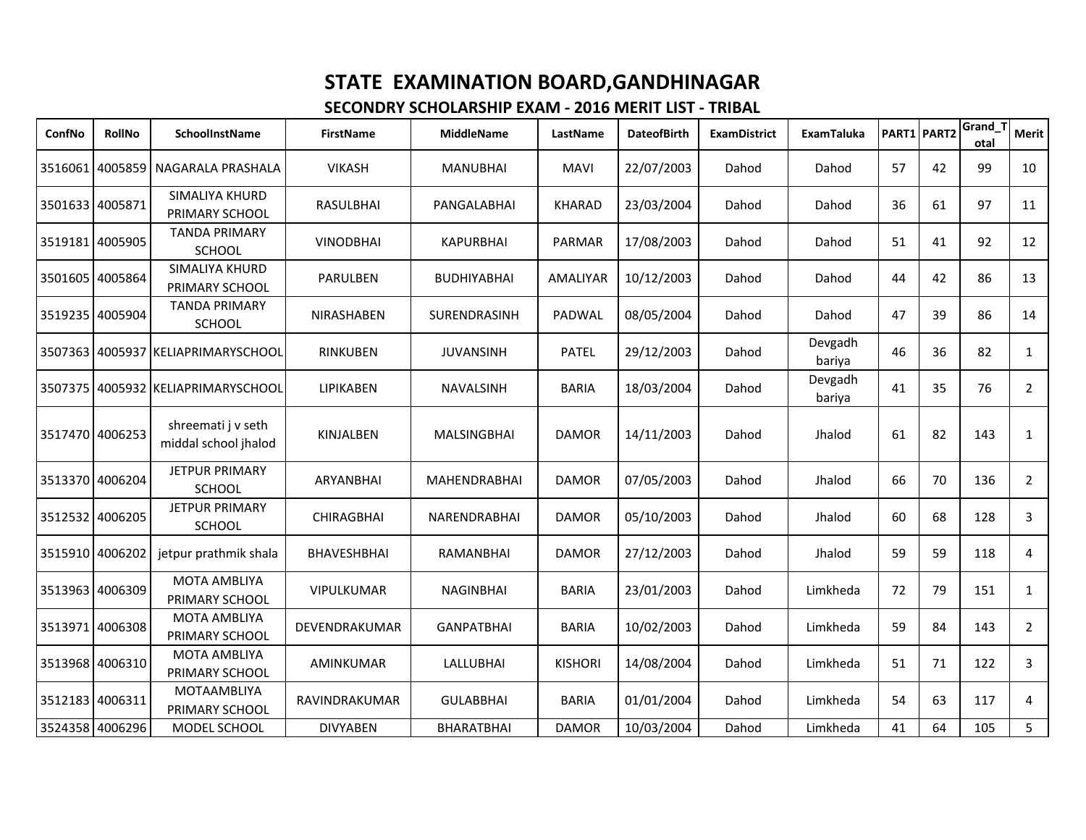| ConfNo          | RollNo          | <b>SchoolInstName</b>                      | <b>FirstName</b>   | <b>MiddleName</b>   | LastName       | <b>DateofBirth</b> | <b>ExamDistrict</b> | ExamTaluka        |    | PART1 PART2 | Grand_1<br>otal | <b>Merit</b>   |
|-----------------|-----------------|--------------------------------------------|--------------------|---------------------|----------------|--------------------|---------------------|-------------------|----|-------------|-----------------|----------------|
|                 |                 | 3516061 4005859 NAGARALA PRASHALA          | <b>VIKASH</b>      | <b>MANUBHAI</b>     | <b>MAVI</b>    | 22/07/2003         | Dahod               | Dahod             | 57 | 42          | 99              | 10             |
| 3501633         | 4005871         | SIMALIYA KHURD<br>PRIMARY SCHOOL           | RASULBHAI          | PANGALABHAI         | <b>KHARAD</b>  | 23/03/2004         | Dahod               | Dahod             | 36 | 61          | 97              | 11             |
| 3519181 4005905 |                 | <b>TANDA PRIMARY</b><br><b>SCHOOL</b>      | <b>VINODBHAI</b>   | <b>KAPURBHAI</b>    | <b>PARMAR</b>  | 17/08/2003         | Dahod               | Dahod             | 51 | 41          | 92              | 12             |
| 3501605         | 4005864         | SIMALIYA KHURD<br>PRIMARY SCHOOL           | PARULBEN           | <b>BUDHIYABHAI</b>  | AMALIYAR       | 10/12/2003         | Dahod               | Dahod             | 44 | 42          | 86              | 13             |
| 3519235 4005904 |                 | <b>TANDA PRIMARY</b><br>SCHOOL             | NIRASHABEN         | SURENDRASINH        | PADWAL         | 08/05/2004         | Dahod               | Dahod             | 47 | 39          | 86              | 14             |
|                 |                 | 3507363 4005937 KELIAPRIMARYSCHOOL         | <b>RINKUBEN</b>    | <b>JUVANSINH</b>    | <b>PATEL</b>   | 29/12/2003         | Dahod               | Devgadh<br>bariya | 46 | 36          | 82              | $\mathbf{1}$   |
| 3507375         |                 | 4005932 KELIAPRIMARYSCHOOL                 | <b>LIPIKABEN</b>   | <b>NAVALSINH</b>    | <b>BARIA</b>   | 18/03/2004         | Dahod               | Devgadh<br>bariya | 41 | 35          | 76              | $\overline{2}$ |
| 3517470 4006253 |                 | shreemati j v seth<br>middal school jhalod | KINJALBEN          | <b>MALSINGBHAI</b>  | <b>DAMOR</b>   | 14/11/2003         | Dahod               | Jhalod            | 61 | 82          | 143             | $\mathbf{1}$   |
| 3513370 4006204 |                 | <b>JETPUR PRIMARY</b><br><b>SCHOOL</b>     | ARYANBHAI          | <b>MAHENDRABHAI</b> | <b>DAMOR</b>   | 07/05/2003         | Dahod               | Jhalod            | 66 | 70          | 136             | $\overline{2}$ |
|                 | 3512532 4006205 | <b>JETPUR PRIMARY</b><br><b>SCHOOL</b>     | <b>CHIRAGBHAI</b>  | <b>NARENDRABHAI</b> | <b>DAMOR</b>   | 05/10/2003         | Dahod               | Jhalod            | 60 | 68          | 128             | $\overline{3}$ |
| 3515910 4006202 |                 | jetpur prathmik shala                      | <b>BHAVESHBHAI</b> | RAMANBHAI           | <b>DAMOR</b>   | 27/12/2003         | Dahod               | Jhalod            | 59 | 59          | 118             | 4              |
| 3513963         | 4006309         | <b>MOTA AMBLIYA</b><br>PRIMARY SCHOOL      | <b>VIPULKUMAR</b>  | <b>NAGINBHAI</b>    | <b>BARIA</b>   | 23/01/2003         | Dahod               | Limkheda          | 72 | 79          | 151             | $\mathbf{1}$   |
|                 | 3513971 4006308 | <b>MOTA AMBLIYA</b><br>PRIMARY SCHOOL      | DEVENDRAKUMAR      | <b>GANPATBHAI</b>   | <b>BARIA</b>   | 10/02/2003         | Dahod               | Limkheda          | 59 | 84          | 143             | $\overline{2}$ |
|                 | 3513968 4006310 | MOTA AMBLIYA<br>PRIMARY SCHOOL             | <b>AMINKUMAR</b>   | <b>LALLUBHAI</b>    | <b>KISHORI</b> | 14/08/2004         | Dahod               | Limkheda          | 51 | 71          | 122             | 3              |
| 3512183         | 4006311         | MOTAAMBLIYA<br>PRIMARY SCHOOL              | RAVINDRAKUMAR      | <b>GULABBHAI</b>    | <b>BARIA</b>   | 01/01/2004         | Dahod               | Limkheda          | 54 | 63          | 117             | 4              |
| 3524358 4006296 |                 | MODEL SCHOOL                               | <b>DIVYABEN</b>    | BHARATBHAI          | <b>DAMOR</b>   | 10/03/2004         | Dahod               | Limkheda          | 41 | 64          | 105             | 5 <sup>1</sup> |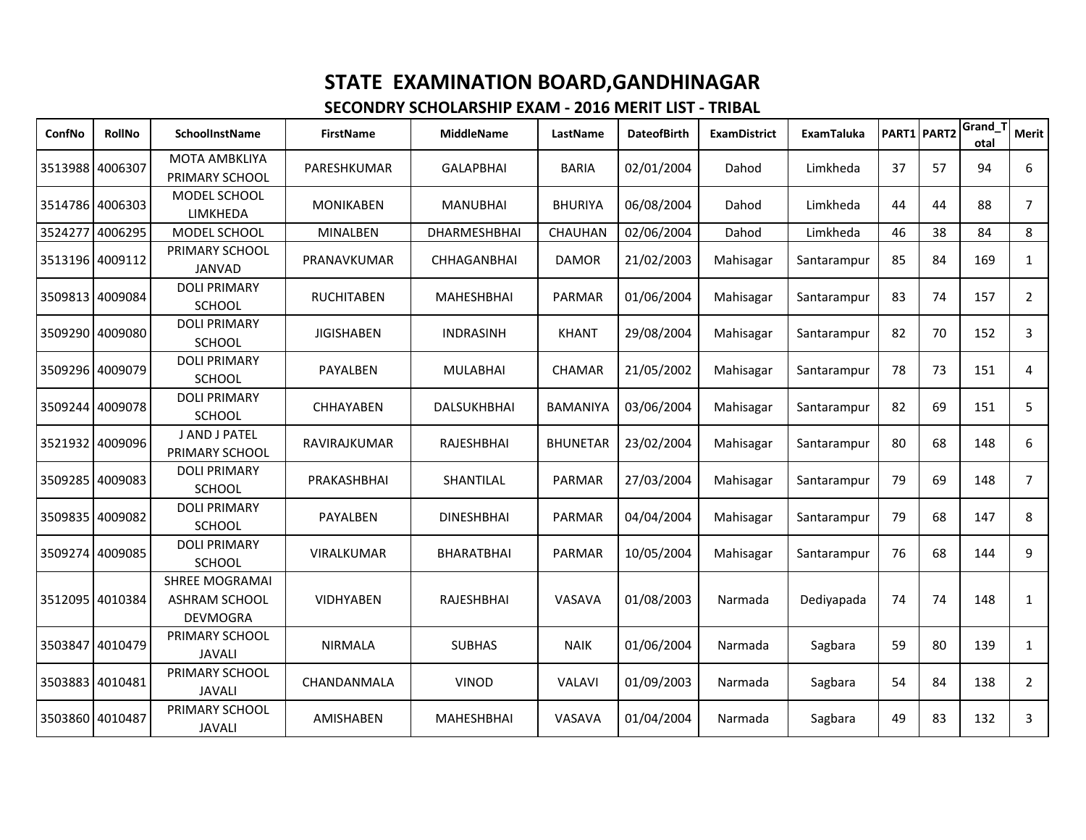| ConfNo          | <b>RollNo</b>   | SchoolInstName                                                   | <b>FirstName</b>  | <b>MiddleName</b>  | LastName        | <b>DateofBirth</b> | <b>ExamDistrict</b> | <b>ExamTaluka</b> | PART1 PART2 |    | Grand_T<br>otal | <b>Merit</b>   |
|-----------------|-----------------|------------------------------------------------------------------|-------------------|--------------------|-----------------|--------------------|---------------------|-------------------|-------------|----|-----------------|----------------|
| 3513988 4006307 |                 | <b>MOTA AMBKLIYA</b><br>PRIMARY SCHOOL                           | PARESHKUMAR       | <b>GALAPBHAI</b>   | <b>BARIA</b>    | 02/01/2004         | Dahod               | Limkheda          | 37          | 57 | 94              | 6              |
|                 | 3514786 4006303 | MODEL SCHOOL<br>LIMKHEDA                                         | <b>MONIKABEN</b>  | MANUBHAI           | <b>BHURIYA</b>  | 06/08/2004         | Dahod               | Limkheda          | 44          | 44 | 88              | 7              |
| 3524277         | 4006295         | MODEL SCHOOL                                                     | <b>MINALBEN</b>   | DHARMESHBHAI       | CHAUHAN         | 02/06/2004         | Dahod               | Limkheda          | 46          | 38 | 84              | 8              |
| 3513196 4009112 |                 | PRIMARY SCHOOL<br><b>JANVAD</b>                                  | PRANAVKUMAR       | <b>CHHAGANBHAI</b> | <b>DAMOR</b>    | 21/02/2003         | Mahisagar           | Santarampur       | 85          | 84 | 169             | 1              |
| 3509813 4009084 |                 | <b>DOLI PRIMARY</b><br><b>SCHOOL</b>                             | <b>RUCHITABEN</b> | <b>MAHESHBHAI</b>  | <b>PARMAR</b>   | 01/06/2004         | Mahisagar           | Santarampur       | 83          | 74 | 157             | $\overline{2}$ |
|                 | 3509290 4009080 | <b>DOLI PRIMARY</b><br><b>SCHOOL</b>                             | <b>JIGISHABEN</b> | <b>INDRASINH</b>   | <b>KHANT</b>    | 29/08/2004         | Mahisagar           | Santarampur       | 82          | 70 | 152             | 3              |
|                 | 3509296 4009079 | <b>DOLI PRIMARY</b><br><b>SCHOOL</b>                             | PAYALBEN          | <b>MULABHAI</b>    | <b>CHAMAR</b>   | 21/05/2002         | Mahisagar           | Santarampur       | 78          | 73 | 151             | 4              |
|                 | 3509244 4009078 | <b>DOLI PRIMARY</b><br><b>SCHOOL</b>                             | <b>CHHAYABEN</b>  | <b>DALSUKHBHAI</b> | <b>BAMANIYA</b> | 03/06/2004         | Mahisagar           | Santarampur       | 82          | 69 | 151             | 5              |
|                 | 3521932 4009096 | J AND J PATEL<br>PRIMARY SCHOOL                                  | RAVIRAJKUMAR      | RAJESHBHAI         | <b>BHUNETAR</b> | 23/02/2004         | Mahisagar           | Santarampur       | 80          | 68 | 148             | 6              |
| 3509285 4009083 |                 | <b>DOLI PRIMARY</b><br><b>SCHOOL</b>                             | PRAKASHBHAI       | SHANTILAL          | PARMAR          | 27/03/2004         | Mahisagar           | Santarampur       | 79          | 69 | 148             | $\overline{7}$ |
|                 | 3509835 4009082 | <b>DOLI PRIMARY</b><br><b>SCHOOL</b>                             | PAYALBEN          | <b>DINESHBHAI</b>  | <b>PARMAR</b>   | 04/04/2004         | Mahisagar           | Santarampur       | 79          | 68 | 147             | 8              |
| 3509274         | 4009085         | <b>DOLI PRIMARY</b><br><b>SCHOOL</b>                             | <b>VIRALKUMAR</b> | <b>BHARATBHAI</b>  | <b>PARMAR</b>   | 10/05/2004         | Mahisagar           | Santarampur       | 76          | 68 | 144             | 9              |
|                 | 3512095 4010384 | <b>SHREE MOGRAMAI</b><br><b>ASHRAM SCHOOL</b><br><b>DEVMOGRA</b> | VIDHYABEN         | RAJESHBHAI         | VASAVA          | 01/08/2003         | Narmada             | Dediyapada        | 74          | 74 | 148             | 1              |
| 3503847         | 4010479         | PRIMARY SCHOOL<br><b>JAVALI</b>                                  | <b>NIRMALA</b>    | <b>SUBHAS</b>      | <b>NAIK</b>     | 01/06/2004         | Narmada             | Sagbara           | 59          | 80 | 139             | $\mathbf{1}$   |
|                 | 3503883 4010481 | PRIMARY SCHOOL<br><b>JAVALI</b>                                  | CHANDANMALA       | <b>VINOD</b>       | <b>VALAVI</b>   | 01/09/2003         | Narmada             | Sagbara           | 54          | 84 | 138             | $\overline{2}$ |
| 3503860 4010487 |                 | PRIMARY SCHOOL<br><b>JAVALI</b>                                  | <b>AMISHABEN</b>  | <b>MAHESHBHAI</b>  | VASAVA          | 01/04/2004         | Narmada             | Sagbara           | 49          | 83 | 132             | 3              |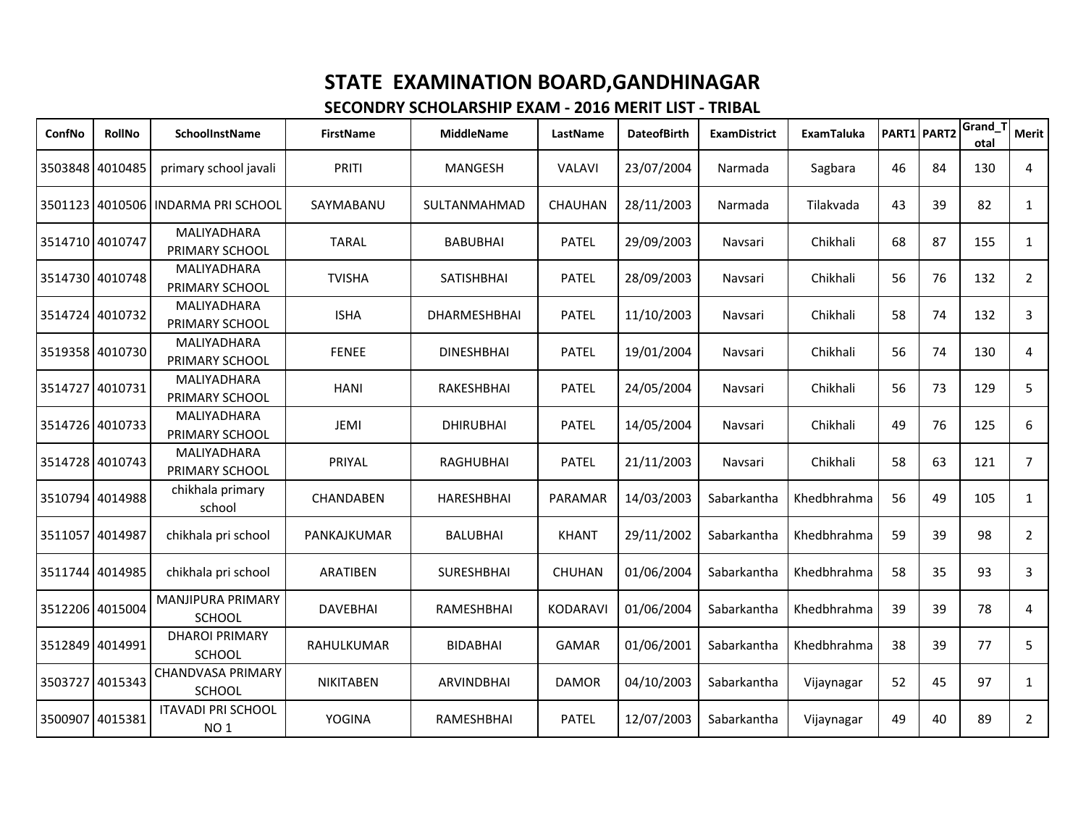| ConfNo          | <b>RollNo</b>   | SchoolInstName                               | <b>FirstName</b> | <b>MiddleName</b> | LastName        | <b>DateofBirth</b> | <b>ExamDistrict</b> | ExamTaluka  | PART1 PART2 |    | Grand 1<br>otal | <b>Merit</b>   |
|-----------------|-----------------|----------------------------------------------|------------------|-------------------|-----------------|--------------------|---------------------|-------------|-------------|----|-----------------|----------------|
|                 | 3503848 4010485 | primary school javali                        | PRITI            | MANGESH           | <b>VALAVI</b>   | 23/07/2004         | Narmada             | Sagbara     | 46          | 84 | 130             | $\overline{4}$ |
| 3501123         | 4010506         | I INDARMA PRI SCHOOL                         | SAYMABANU        | SULTANMAHMAD      | <b>CHAUHAN</b>  | 28/11/2003         | Narmada             | Tilakvada   | 43          | 39 | 82              | $\mathbf{1}$   |
|                 | 3514710 4010747 | MALIYADHARA<br>PRIMARY SCHOOL                | <b>TARAL</b>     | <b>BABUBHAI</b>   | <b>PATEL</b>    | 29/09/2003         | Navsari             | Chikhali    | 68          | 87 | 155             | $\mathbf{1}$   |
|                 | 3514730 4010748 | MALIYADHARA<br>PRIMARY SCHOOL                | <b>TVISHA</b>    | SATISHBHAI        | <b>PATEL</b>    | 28/09/2003         | Navsari             | Chikhali    | 56          | 76 | 132             | $\overline{2}$ |
|                 | 3514724 4010732 | MALIYADHARA<br>PRIMARY SCHOOL                | <b>ISHA</b>      | DHARMESHBHAI      | <b>PATEL</b>    | 11/10/2003         | Navsari             | Chikhali    | 58          | 74 | 132             | 3              |
|                 | 3519358 4010730 | MALIYADHARA<br>PRIMARY SCHOOL                | <b>FENEE</b>     | <b>DINESHBHAI</b> | <b>PATEL</b>    | 19/01/2004         | Navsari             | Chikhali    | 56          | 74 | 130             | 4              |
| 3514727         | 4010731         | MALIYADHARA<br>PRIMARY SCHOOL                | <b>HANI</b>      | RAKESHBHAI        | <b>PATEL</b>    | 24/05/2004         | Navsari             | Chikhali    | 56          | 73 | 129             | 5              |
|                 | 3514726 4010733 | MALIYADHARA<br>PRIMARY SCHOOL                | JEMI             | <b>DHIRUBHAI</b>  | <b>PATEL</b>    | 14/05/2004         | Navsari             | Chikhali    | 49          | 76 | 125             | 6              |
|                 | 3514728 4010743 | MALIYADHARA<br>PRIMARY SCHOOL                | PRIYAL           | <b>RAGHUBHAI</b>  | <b>PATEL</b>    | 21/11/2003         | Navsari             | Chikhali    | 58          | 63 | 121             | $\overline{7}$ |
|                 | 3510794 4014988 | chikhala primary<br>school                   | CHANDABEN        | <b>HARESHBHAI</b> | PARAMAR         | 14/03/2003         | Sabarkantha         | Khedbhrahma | 56          | 49 | 105             | $\mathbf{1}$   |
| 3511057         | 4014987         | chikhala pri school                          | PANKAJKUMAR      | <b>BALUBHAI</b>   | <b>KHANT</b>    | 29/11/2002         | Sabarkantha         | Khedbhrahma | 59          | 39 | 98              | $\overline{2}$ |
|                 | 3511744 4014985 | chikhala pri school                          | <b>ARATIBEN</b>  | <b>SURESHBHAI</b> | <b>CHUHAN</b>   | 01/06/2004         | Sabarkantha         | Khedbhrahma | 58          | 35 | 93              | 3              |
| 3512206 4015004 |                 | <b>MANJIPURA PRIMARY</b><br>SCHOOL           | <b>DAVEBHAI</b>  | RAMESHBHAI        | <b>KODARAVI</b> | 01/06/2004         | Sabarkantha         | Khedbhrahma | 39          | 39 | 78              | 4              |
|                 | 3512849 4014991 | <b>DHAROI PRIMARY</b><br>SCHOOL              | RAHULKUMAR       | <b>BIDABHAI</b>   | <b>GAMAR</b>    | 01/06/2001         | Sabarkantha         | Khedbhrahma | 38          | 39 | 77              | 5              |
| 3503727         | 4015343         | <b>CHANDVASA PRIMARY</b><br>SCHOOL           | <b>NIKITABEN</b> | <b>ARVINDBHAI</b> | <b>DAMOR</b>    | 04/10/2003         | Sabarkantha         | Vijaynagar  | 52          | 45 | 97              | $\mathbf{1}$   |
| 3500907         | 4015381         | <b>ITAVADI PRI SCHOOL</b><br>NO <sub>1</sub> | <b>YOGINA</b>    | <b>RAMESHBHAI</b> | <b>PATEL</b>    | 12/07/2003         | Sabarkantha         | Vijaynagar  | 49          | 40 | 89              | $\overline{2}$ |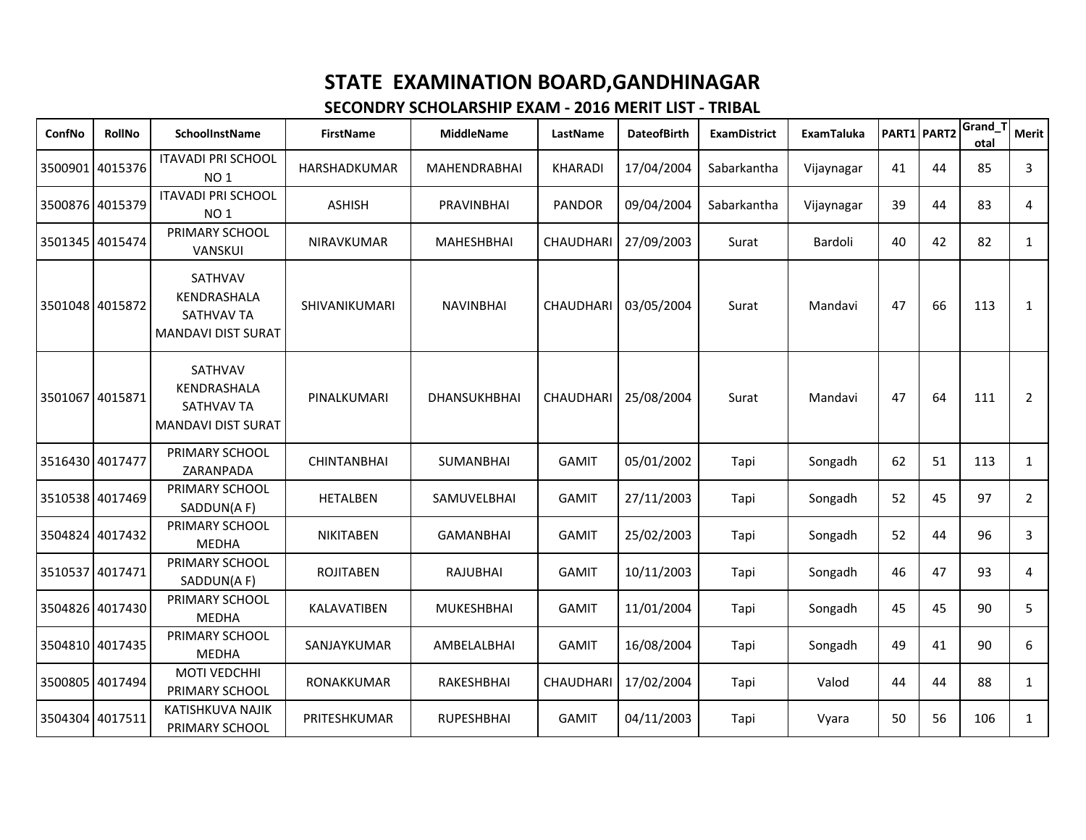| ConfNo          | RollNo          | SchoolInstName                                                           | <b>FirstName</b>   | <b>MiddleName</b>   | LastName         | <b>DateofBirth</b> | <b>ExamDistrict</b> | <b>ExamTaluka</b> |    | PART1 PART2 | Grand_T<br>otal | Merit          |
|-----------------|-----------------|--------------------------------------------------------------------------|--------------------|---------------------|------------------|--------------------|---------------------|-------------------|----|-------------|-----------------|----------------|
|                 | 3500901 4015376 | <b>ITAVADI PRI SCHOOL</b><br>NO <sub>1</sub>                             | HARSHADKUMAR       | <b>MAHENDRABHAI</b> | <b>KHARADI</b>   | 17/04/2004         | Sabarkantha         | Vijaynagar        | 41 | 44          | 85              | 3              |
| 3500876 4015379 |                 | <b>ITAVADI PRI SCHOOL</b><br>NO <sub>1</sub>                             | <b>ASHISH</b>      | <b>PRAVINBHAI</b>   | <b>PANDOR</b>    | 09/04/2004         | Sabarkantha         | Vijaynagar        | 39 | 44          | 83              | 4              |
|                 | 3501345 4015474 | PRIMARY SCHOOL<br>VANSKUI                                                | NIRAVKUMAR         | MAHESHBHAI          | CHAUDHARI        | 27/09/2003         | Surat               | Bardoli           | 40 | 42          | 82              | $\mathbf{1}$   |
|                 | 3501048 4015872 | SATHVAV<br>KENDRASHALA<br><b>SATHVAV TA</b><br><b>MANDAVI DIST SURAT</b> | SHIVANIKUMARI      | <b>NAVINBHAI</b>    | CHAUDHARI        | 03/05/2004         | Surat               | Mandavi           | 47 | 66          | 113             | 1              |
|                 | 3501067 4015871 | SATHVAV<br>KENDRASHALA<br>SATHVAV TA<br><b>MANDAVI DIST SURAT</b>        | PINALKUMARI        | DHANSUKHBHAI        | CHAUDHARI        | 25/08/2004         | Surat               | Mandavi           | 47 | 64          | 111             | $\overline{2}$ |
| 3516430 4017477 |                 | PRIMARY SCHOOL<br>ZARANPADA                                              | <b>CHINTANBHAI</b> | SUMANBHAI           | <b>GAMIT</b>     | 05/01/2002         | Tapi                | Songadh           | 62 | 51          | 113             | $\mathbf{1}$   |
|                 | 3510538 4017469 | PRIMARY SCHOOL<br>SADDUN(AF)                                             | <b>HETALBEN</b>    | SAMUVELBHAI         | <b>GAMIT</b>     | 27/11/2003         | Tapi                | Songadh           | 52 | 45          | 97              | $\overline{2}$ |
|                 | 3504824 4017432 | PRIMARY SCHOOL<br><b>MEDHA</b>                                           | <b>NIKITABEN</b>   | <b>GAMANBHAI</b>    | <b>GAMIT</b>     | 25/02/2003         | Tapi                | Songadh           | 52 | 44          | 96              | 3              |
|                 | 3510537 4017471 | PRIMARY SCHOOL<br>SADDUN(AF)                                             | <b>ROJITABEN</b>   | <b>RAJUBHAI</b>     | <b>GAMIT</b>     | 10/11/2003         | Tapi                | Songadh           | 46 | 47          | 93              | 4              |
|                 | 3504826 4017430 | PRIMARY SCHOOL<br><b>MEDHA</b>                                           | KALAVATIBEN        | <b>MUKESHBHAI</b>   | <b>GAMIT</b>     | 11/01/2004         | Tapi                | Songadh           | 45 | 45          | 90              | 5              |
|                 | 3504810 4017435 | PRIMARY SCHOOL<br><b>MEDHA</b>                                           | SANJAYKUMAR        | AMBELALBHAI         | <b>GAMIT</b>     | 16/08/2004         | Tapi                | Songadh           | 49 | 41          | 90              | 6              |
|                 | 3500805 4017494 | MOTI VEDCHHI<br>PRIMARY SCHOOL                                           | RONAKKUMAR         | RAKESHBHAI          | <b>CHAUDHARI</b> | 17/02/2004         | Tapi                | Valod             | 44 | 44          | 88              | 1              |
|                 | 3504304 4017511 | KATISHKUVA NAJIK<br>PRIMARY SCHOOL                                       | PRITESHKUMAR       | <b>RUPESHBHAI</b>   | <b>GAMIT</b>     | 04/11/2003         | Tapi                | Vyara             | 50 | 56          | 106             | $\mathbf{1}$   |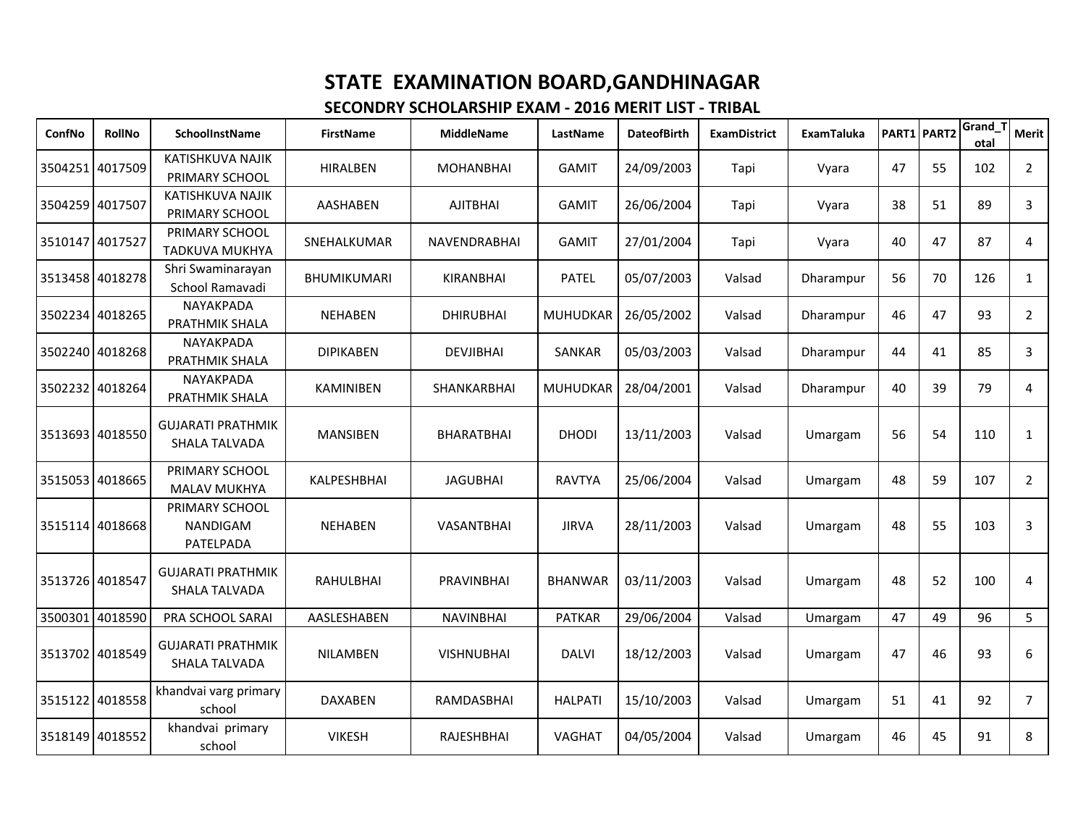| ConfNo          | <b>RollNo</b>   | SchoolInstName                            | <b>FirstName</b>   | <b>MiddleName</b> | LastName       | <b>DateofBirth</b> | <b>ExamDistrict</b> | <b>ExamTaluka</b> | PART1 PART2 |    | Grand 1<br>otal | <b>Merit</b>   |
|-----------------|-----------------|-------------------------------------------|--------------------|-------------------|----------------|--------------------|---------------------|-------------------|-------------|----|-----------------|----------------|
|                 | 3504251 4017509 | KATISHKUVA NAJIK<br>PRIMARY SCHOOL        | <b>HIRALBEN</b>    | <b>MOHANBHAI</b>  | <b>GAMIT</b>   | 24/09/2003         | Tapi                | Vyara             | 47          | 55 | 102             | $2^{\circ}$    |
|                 | 3504259 4017507 | KATISHKUVA NAJIK<br>PRIMARY SCHOOL        | <b>AASHABEN</b>    | <b>AJITBHAI</b>   | <b>GAMIT</b>   | 26/06/2004         | Tapi                | Vyara             | 38          | 51 | 89              | $\overline{3}$ |
| 3510147         | 4017527         | PRIMARY SCHOOL<br><b>TADKUVA MUKHYA</b>   | SNEHALKUMAR        | NAVENDRABHAI      | <b>GAMIT</b>   | 27/01/2004         | Tapi                | Vyara             | 40          | 47 | 87              | 4              |
|                 | 3513458 4018278 | Shri Swaminarayan<br>School Ramavadi      | <b>BHUMIKUMARI</b> | KIRANBHAI         | <b>PATEL</b>   | 05/07/2003         | Valsad              | Dharampur         | 56          | 70 | 126             | $\mathbf{1}$   |
|                 | 3502234 4018265 | NAYAKPADA<br>PRATHMIK SHALA               | <b>NEHABEN</b>     | <b>DHIRUBHAI</b>  | MUHUDKAR       | 26/05/2002         | Valsad              | Dharampur         | 46          | 47 | 93              | $\overline{2}$ |
|                 | 3502240 4018268 | NAYAKPADA<br>PRATHMIK SHALA               | <b>DIPIKABEN</b>   | <b>DEVJIBHAI</b>  | SANKAR         | 05/03/2003         | Valsad              | Dharampur         | 44          | 41 | 85              | 3              |
|                 | 3502232 4018264 | NAYAKPADA<br>PRATHMIK SHALA               | KAMINIBEN          | SHANKARBHAI       | MUHUDKAR       | 28/04/2001         | Valsad              | Dharampur         | 40          | 39 | 79              | $\overline{4}$ |
|                 | 3513693 4018550 | <b>GUJARATI PRATHMIK</b><br>SHALA TALVADA | <b>MANSIBEN</b>    | <b>BHARATBHAI</b> | <b>DHODI</b>   | 13/11/2003         | Valsad              | Umargam           | 56          | 54 | 110             | $\mathbf{1}$   |
|                 | 3515053 4018665 | PRIMARY SCHOOL<br>MALAV MUKHYA            | <b>KALPESHBHAI</b> | <b>JAGUBHAI</b>   | <b>RAVTYA</b>  | 25/06/2004         | Valsad              | Umargam           | 48          | 59 | 107             | $\overline{2}$ |
|                 | 3515114 4018668 | PRIMARY SCHOOL<br>NANDIGAM<br>PATELPADA   | <b>NEHABEN</b>     | VASANTBHAI        | <b>JIRVA</b>   | 28/11/2003         | Valsad              | Umargam           | 48          | 55 | 103             | 3              |
|                 | 3513726 4018547 | <b>GUJARATI PRATHMIK</b><br>SHALA TALVADA | <b>RAHULBHAI</b>   | <b>PRAVINBHAI</b> | <b>BHANWAR</b> | 03/11/2003         | Valsad              | Umargam           | 48          | 52 | 100             | 4              |
| 3500301         | 4018590         | PRA SCHOOL SARAI                          | AASLESHABEN        | <b>NAVINBHAI</b>  | <b>PATKAR</b>  | 29/06/2004         | Valsad              | Umargam           | 47          | 49 | 96              | 5              |
| 3513702 4018549 |                 | <b>GUJARATI PRATHMIK</b><br>SHALA TALVADA | <b>NILAMBEN</b>    | <b>VISHNUBHAI</b> | <b>DALVI</b>   | 18/12/2003         | Valsad              | Umargam           | 47          | 46 | 93              | 6              |
| 3515122         | 4018558         | khandvai varg primary<br>school           | <b>DAXABEN</b>     | RAMDASBHAI        | <b>HALPATI</b> | 15/10/2003         | Valsad              | Umargam           | 51          | 41 | 92              | $\overline{7}$ |
|                 | 3518149 4018552 | khandvai primary<br>school                | <b>VIKESH</b>      | <b>RAJESHBHAI</b> | <b>VAGHAT</b>  | 04/05/2004         | Valsad              | Umargam           | 46          | 45 | 91              | 8              |